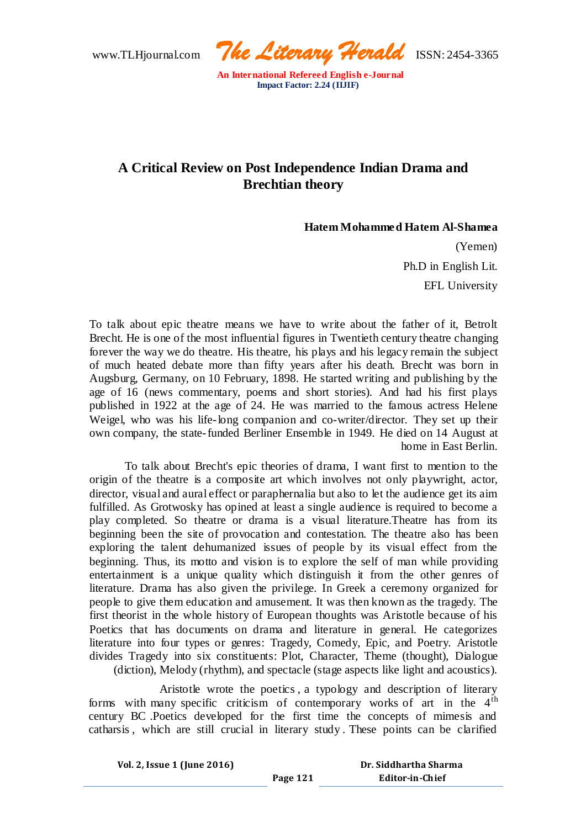www.TLHjournal.com *The Literary Herald*ISSN: 2454-3365

# **A Critical Review on Post Independence Indian Drama and Brechtian theory**

### **Hatem Mohammed Hatem Al-Shamea**

(Yemen) Ph.D in English Lit. EFL University

To talk about epic theatre means we have to write about the father of it, Betrolt Brecht. He is one of the most influential figures in Twentieth century theatre changing forever the way we do theatre. His theatre, his plays and his legacy remain the subject of much heated debate more than fifty years after his death. Brecht was born in Augsburg, Germany, on 10 February, 1898. He started writing and publishing by the age of 16 (news commentary, poems and short stories). And had his first plays published in 1922 at the age of 24. He was married to the famous actress Helene Weigel, who was his life-long companion and co-writer/director. They set up their own company, the state-funded Berliner Ensemble in 1949. He died on 14 August at home in East Berlin.

 To talk about Brecht's epic theories of drama, I want first to mention to the origin of the theatre is a composite art which involves not only playwright, actor, director, visual and aural effect or paraphernalia but also to let the audience get its aim fulfilled. As Grotwosky has opined at least a single audience is required to become a play completed. So theatre or drama is a visual literature.Theatre has from its beginning been the site of provocation and contestation. The theatre also has been exploring the talent dehumanized issues of people by its visual effect from the beginning. Thus, its motto and vision is to explore the self of man while providing entertainment is a unique quality which distinguish it from the other genres of literature. Drama has also given the privilege. In Greek a ceremony organized for people to give them education and amusement. It was then known as the tragedy. The first theorist in the whole history of European thoughts was Aristotle because of his Poetics that has documents on drama and literature in general. He categorizes literature into four types or genres: Tragedy, Comedy, Epic, and Poetry. Aristotle divides Tragedy into six constituents: Plot, Character, Theme (thought), Dialogue (diction), Melody (rhythm), and spectacle (stage aspects like light and acoustics).

 Aristotle wrote the poetics , a typology and description of literary forms with many specific criticism of contemporary works of art in the  $4<sup>th</sup>$ century BC .Poetics developed for the first time the concepts of mimesis and catharsis , which are still crucial in literary study . These points can be clarified

**Page 121**

**Vol. 2, Issue 1 (June 2016)**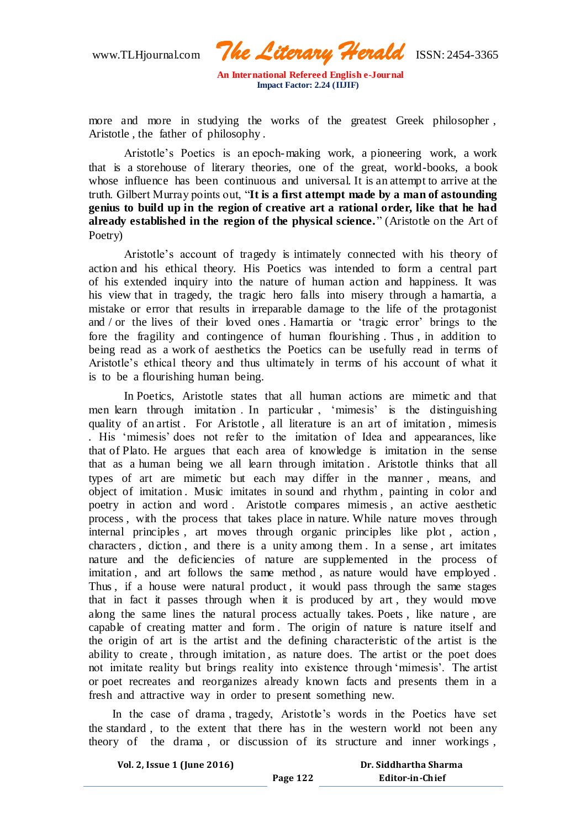www.TLHjournal.com *The Literary Herald*ISSN: 2454-3365

more and more in studying the works of the greatest Greek philosopher , Aristotle , the father of philosophy .

Aristotle's Poetics is an epoch-making work, a pioneering work, a work that is a storehouse of literary theories, one of the great, world-books, a book whose influence has been continuous and universal. It is an attempt to arrive at the truth. Gilbert Murray points out, "**It is a first attempt made by a man of astounding genius to build up in the region of creative art a rational order, like that he had**  already established in the region of the physical science." (Aristotle on the Art of Poetry)

 Aristotle's account of tragedy is intimately connected with his theory of action and his ethical theory. His Poetics was intended to form a central part of his extended inquiry into the nature of human action and happiness. It was his view that in tragedy, the tragic hero falls into misery through a hamartia, a mistake or error that results in irreparable damage to the life of the protagonist and / or the lives of their loved ones . Hamartia or 'tragic error' brings to the fore the fragility and contingence of human flourishing . Thus , in addition to being read as a work of aesthetics the Poetics can be usefully read in terms of Aristotle's ethical theory and thus ultimately in terms of his account of what it is to be a flourishing human being.

 In Poetics, Aristotle states that all human actions are mimetic and that men learn through imitation . In particular , 'mimesis' is the distinguishing quality of an artist. For Aristotle, all literature is an art of imitation, mimesis *.* His 'mimesis' does not refer to the imitation of Idea and appearances, like that of Plato. He argues that each area of knowledge is imitation in the sense that as a human being we all learn through imitation . Aristotle thinks that all types of art are mimetic but each may differ in the manner , means, and object of imitation . Music imitates in sound and rhythm , painting in color and poetry in action and word. Aristotle compares mimesis, an active aesthetic process , with the process that takes place in nature. While nature moves through internal principles , art moves through organic principles like plot , action , characters , diction , and there is a unity among them . In a sense , art imitates nature and the deficiencies of nature are supplemented in the process of imitation, and art follows the same method, as nature would have employed. Thus , if a house were natural product , it would pass through the same stages that in fact it passes through when it is produced by art , they would move along the same lines the natural process actually takes. Poets , like nature , are capable of creating matter and form . The origin of nature is nature itself and the origin of art is the artist and the defining characteristic of the artist is the ability to create , through imitation , as nature does. The artist or the poet does not imitate reality but brings reality into existence through 'mimesis'. The artist or poet recreates and reorganizes already known facts and presents them in a fresh and attractive way in order to present something new.

 In the case of drama , tragedy, Aristotle's words in the Poetics have set the standard , to the extent that there has in the western world not been any theory of the drama , or discussion of its structure and inner workings ,

**Page 122**

**Vol. 2, Issue 1 (June 2016)**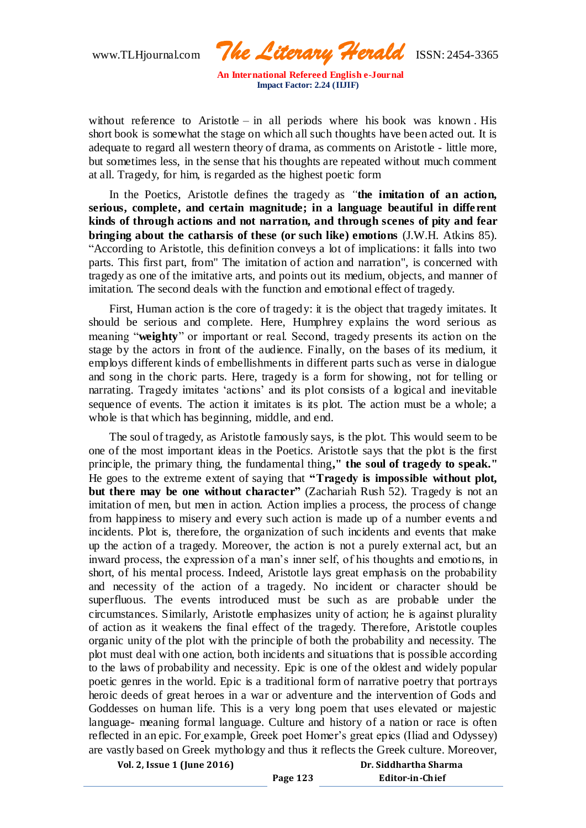www.TLHjournal.com *The Literary Herald*ISSN: 2454-3365

without reference to Aristotle – in all periods where his book was known. His short book is somewhat the stage on which all such thoughts have been acted out. It is adequate to regard all western theory of drama, as comments on Aristotle - little more, but sometimes less, in the sense that his thoughts are repeated without much comment at all. Tragedy, for him, is regarded as the highest poetic form

 In the Poetics*,* Aristotle defines the tragedy as *"***the imitation of an action, serious, complete, and certain magnitude; in a language beautiful in different kinds of through actions and not narration, and through scenes of pity and fear bringing about the catharsis of these (or such like) emotions** (J.W.H. Atkins 85). "According to Aristotle, this definition conveys a lot of implications: it falls into two parts. This first part, from" The imitation of action and narration", is concerned with tragedy as one of the imitative arts, and points out its medium, objects, and manner of imitation. The second deals with the function and emotional effect of tragedy.

 First, Human action is the core of tragedy: it is the object that tragedy imitates. It should be serious and complete. Here, Humphrey explains the word serious as meaning "**weighty**" or important or real. Second, tragedy presents its action on the stage by the actors in front of the audience. Finally, on the bases of its medium, it employs different kinds of embellishments in different parts such as verse in dialogue and song in the choric parts. Here, tragedy is a form for showing, not for telling or narrating. Tragedy imitates 'actions' and its plot consists of a logical and inevitable sequence of events. The action it imitates is its plot. The action must be a whole; a whole is that which has beginning, middle, and end.

 The soul of tragedy, as Aristotle famously says, is the plot. This would seem to be one of the most important ideas in the Poetic*s*. Aristotle says that the plot is the first principle, the primary thing, the fundamental thing**," the soul of tragedy to speak."** He goes to the extreme extent of saying that **"Tragedy is impossible without plot, but there may be one without character"** (Zachariah Rush 52). Tragedy is not an imitation of men, but men in action. Action implies a process, the process of change from happiness to misery and every such action is made up of a number events a nd incidents. Plot is, therefore, the organization of such incidents and events that make up the action of a tragedy. Moreover, the action is not a purely external act, but an inward process, the expression of a man's inner self, of his thoughts and emotio ns, in short, of his mental process. Indeed, Aristotle lays great emphasis on the probability and necessity of the action of a tragedy. No incident or character should be superfluous. The events introduced must be such as are probable under the circumstances. Similarly, Aristotle emphasizes unity of action; he is against plurality of action as it weakens the final effect of the tragedy. Therefore, Aristotle couples organic unity of the plot with the principle of both the probability and necessity. The plot must deal with one action, both incidents and situations that is possible according to the laws of probability and necessity. Epic is one of the oldest and widely popular poetic genres in the world. Epic is a traditional form of narrative poetry that portrays heroic deeds of great heroes in a war or adventure and the intervention of Gods and Goddesses on human life. This is a very long poem that uses elevated or majestic language- meaning formal language. Culture and history of a nation or race is often reflected in an epic. For example, Greek poet Homer's great epics (Iliad and Odyssey) are vastly based on Greek mythology and thus it reflects the Greek culture. Moreover,

**Vol. 2, Issue 1 (June 2016)**

**Page 123**

**Dr. Siddhartha Sharma Editor-in-Chief**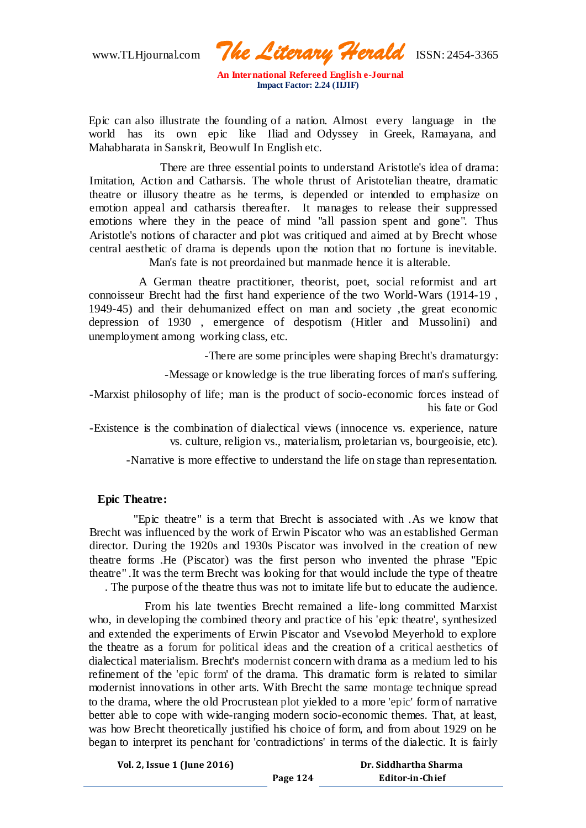www.TLHjournal.com *The Literary Herald*ISSN: 2454-3365

Epic can also illustrate the founding of a nation. Almost every language in the world has its own epic like Iliad and Odyssey in Greek, Ramayana, and Mahabharata in Sanskrit, Beowulf In English etc.

 There are three essential points to understand Aristotle's idea of drama: Imitation, Action and Catharsis. The whole thrust of Aristotelian theatre, dramatic theatre or illusory theatre as he terms, is depended or intended to emphasize on emotion appeal and catharsis thereafter. It manages to release their suppressed emotions where they in the peace of mind "all passion spent and gone". Thus Aristotle's notions of character and plot was critiqued and aimed at by Brecht whose central aesthetic of drama is depends upon the notion that no fortune is inevitable.

Man's fate is not preordained but manmade hence it is alterable.

 A German theatre practitioner, theorist, poet, social reformist and art connoisseur Brecht had the first hand experience of the two World-Wars (1914-19 , 1949-45) and their dehumanized effect on man and society ,the great economic depression of 1930 , emergence of despotism (Hitler and Mussolini) and unemployment among working class, etc.

-There are some principles were shaping Brecht's dramaturgy:

-Message or knowledge is the true liberating forces of man's suffering.

-Marxist philosophy of life; man is the product of socio-economic forces instead of his fate or God

-Existence is the combination of dialectical views (innocence vs. experience, nature vs. culture, religion vs., materialism, proletarian vs, bourgeoisie, etc).

-Narrative is more effective to understand the life on stage than representation.

# **Epic Theatre:**

 ''Epic theatre" is a term that Brecht is associated with .As we know that Brecht was influenced by the work of Erwin Piscator who was an established German director. During the 1920s and 1930s Piscator was involved in the creation of new theatre forms .He (Piscator) was the first person who invented the phrase "Epic theatre" .It was the term Brecht was looking for that would include the type of theatre . The purpose of the theatre thus was not to imitate life but to educate the audience.

 From his late twenties Brecht remained a life-long committed Marxist who, in developing the combined theory and practice of his 'epic theatre', synthesized and extended the experiments of Erwin Piscator and Vsevolod Meyerhold to explore the theatre as a [forum for political ideas](http://en.academic.ru/dic.nsf/enwiki/138411) and the creation of a [critical aesthetics](http://en.academic.ru/dic.nsf/enwiki/2987764) of dialectical materialism. Brecht's [modernist](http://en.academic.ru/dic.nsf/enwiki/11823) concern with drama as a [medium](http://en.academic.ru/dic.nsf/enwiki/5166772) led to his refinement of the ['epic form'](http://en.academic.ru/dic.nsf/enwiki/7039513) of the drama. This dramatic form is related to similar modernist innovations in other arts. With Brecht the same [montage](http://en.academic.ru/dic.nsf/enwiki/4543825) technique spread to the drama, where the old Procrustean [plot](http://en.academic.ru/dic.nsf/enwiki/46050) yielded to a more ['epic'](http://en.academic.ru/dic.nsf/enwiki/7039513) form of narrative better able to cope with wide-ranging modern socio-economic themes. That, at least, was how Brecht theoretically justified his choice of form, and from about 1929 on he began to interpret its penchant for 'contradictions' in terms of the dialectic. It is fairly

**Page 124**

**Vol. 2, Issue 1 (June 2016)**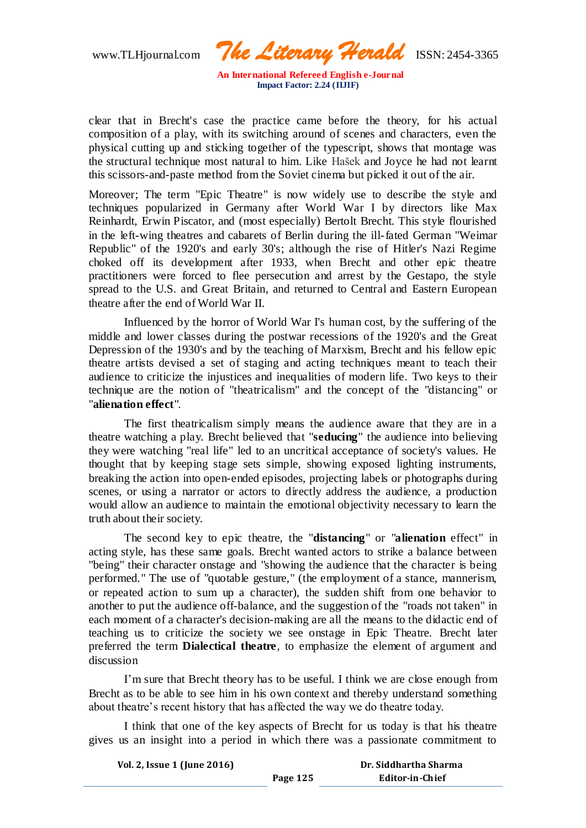www.TLHjournal.com *The Literary Herald*ISSN: 2454-3365

clear that in Brecht's case the practice came before the theory, for his actual composition of a play, with its switching around of scenes and characters, even the physical cutting up and sticking together of the typescript, shows that montage was the structural technique most natural to him. Like [Hašek](http://en.academic.ru/dic.nsf/enwiki/40949) and Joyce he had not learnt this scissors-and-paste method from the Soviet cinema but picked it out of the air.

Moreover; The term "Epic Theatre" is now widely use to describe the style and techniques popularized in Germany after World War I by directors like Max Reinhardt, Erwin Piscator, and (most especially) Bertolt Brecht. This style flourished in the left-wing theatres and cabarets of Berlin during the ill-fated German "Weimar Republic" of the 1920's and early 30's; although the rise of Hitler's Nazi Regime choked off its development after 1933, when Brecht and other epic theatre practitioners were forced to flee persecution and arrest by the Gestapo, the style spread to the U.S. and Great Britain, and returned to Central and Eastern European theatre after the end of World War II.

Influenced by the horror of World War I's human cost, by the suffering of the middle and lower classes during the postwar recessions of the 1920's and the Great Depression of the 1930's and by the teaching of Marxism, Brecht and his fellow epic theatre artists devised a set of staging and acting techniques meant to teach their audience to criticize the injustices and inequalities of modern life. Two keys to their technique are the notion of "theatricalism" and the concept of the "distancing" or "**alienation effect**".

The first theatricalism simply means the audience aware that they are in a theatre watching a play. Brecht believed that "**seducing**" the audience into believing they were watching "real life" led to an uncritical acceptance of society's values. He thought that by keeping stage sets simple, showing exposed lighting instruments, breaking the action into open-ended episodes, projecting labels or photographs during scenes, or using a narrator or actors to directly address the audience, a production would allow an audience to maintain the emotional objectivity necessary to learn the truth about their society.

The second key to epic theatre, the "**distancing**" or "**alienation** effect" in acting style, has these same goals. Brecht wanted actors to strike a balance between "being" their character onstage and "showing the audience that the character is being performed." The use of "quotable gesture," (the employment of a stance, mannerism, or repeated action to sum up a character), the sudden shift from one behavior to another to put the audience off-balance, and the suggestion of the "roads not taken" in each moment of a character's decision-making are all the means to the didactic end of teaching us to criticize the society we see onstage in Epic Theatre. Brecht later preferred the term **Dialectical theatre**, to emphasize the element of argument and discussion

I'm sure that Brecht theory has to be useful. I think we are close enough from Brecht as to be able to see him in his own context and thereby understand something about theatre's recent history that has affected the way we do theatre today.

I think that one of the key aspects of Brecht for us today is that his theatre gives us an insight into a period in which there was a passionate commitment to

| Vol. 2, Issue 1 (June 2016) |          | Dr. Siddhartha Sharma |
|-----------------------------|----------|-----------------------|
|                             | Page 125 | Editor-in-Chief       |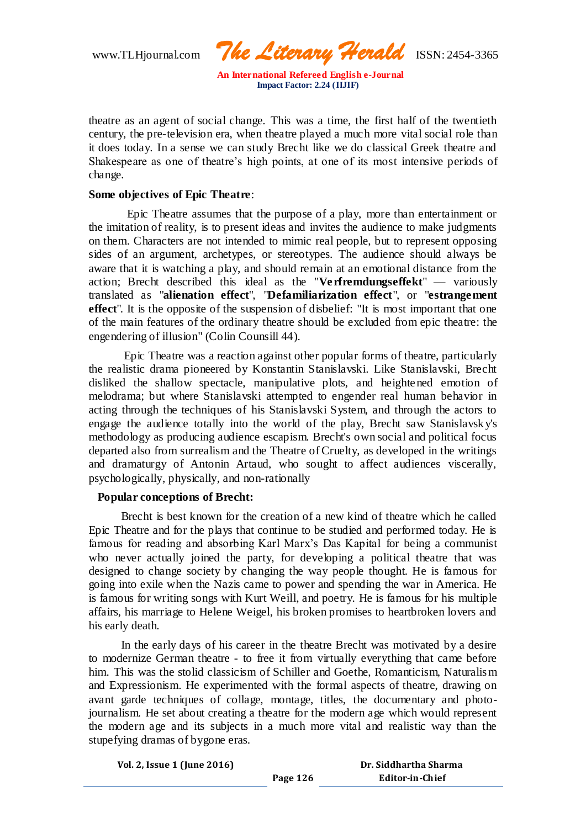www.TLHjournal.com *The Literary Herald*ISSN: 2454-3365

theatre as an agent of social change. This was a time, the first half of the twentieth century, the pre-television era, when theatre played a much more vital social role than it does today. In a sense we can study Brecht like we do classical Greek theatre and Shakespeare as one of theatre's high points, at one of its most intensive periods of change.

### **Some objectives of Epic Theatre**:

 Epic Theatre assumes that the purpose of a play, more than entertainment or the imitation of reality, is to present ideas and invites the audience to make judgments on them. Characters are not intended to mimic real people, but to represent opposing sides of an argument, archetypes, or stereotypes. The audience should always be aware that it is watching a play, and should remain at an emotional distance from the action; Brecht described this ideal as the "**Verfremdungseffekt**" — variously translated as "**alienation effect**", "**Defamiliarization effect**", or "**estrangement effect**". It is the opposite of the suspension of disbelief: "It is most important that one of the main features of the ordinary theatre should be excluded from epic theatre: the engendering of illusion" (Colin Counsill 44).

Epic Theatre was a reaction against other popular forms of theatre, particularly the realistic drama pioneered by Konstantin Stanislavski. Like Stanislavski, Brecht disliked the shallow spectacle, manipulative plots, and heightened emotion of melodrama; but where Stanislavski attempted to engender real human behavior in acting through the techniques of his Stanislavski System, and through the actors to engage the audience totally into the world of the play, Brecht saw Stanislavsk y's methodology as producing audience escapism. Brecht's own social and political focus departed also from surrealism and the Theatre of Cruelty, as developed in the writings and dramaturgy of Antonin Artaud, who sought to affect audiences viscerally, psychologically, physically, and non-rationally

# **Popular conceptions of Brecht:**

 Brecht is best known for the creation of a new kind of theatre which he called Epic Theatre and for the plays that continue to be studied and performed today. He is famous for reading and absorbing Karl Marx's Das Kapital for being a communist who never actually joined the party, for developing a political theatre that was designed to change society by changing the way people thought. He is famous for going into exile when the Nazis came to power and spending the war in America. He is famous for writing songs with Kurt Weill, and poetry. He is famous for his multiple affairs, his marriage to Helene Weigel, his broken promises to heartbroken lovers and his early death.

 In the early days of his career in the theatre Brecht was motivated by a desire to modernize German theatre - to free it from virtually everything that came before him. This was the stolid classicism of Schiller and Goethe, Romanticism, Naturalism and Expressionism. He experimented with the formal aspects of theatre, drawing on avant garde techniques of collage, montage, titles, the documentary and photojournalism. He set about creating a theatre for the modern age which would represent the modern age and its subjects in a much more vital and realistic way than the stupefying dramas of bygone eras.

**Page 126**

|  |  |  |  |  | Vol. 2, Issue 1 (June 2016) |
|--|--|--|--|--|-----------------------------|
|--|--|--|--|--|-----------------------------|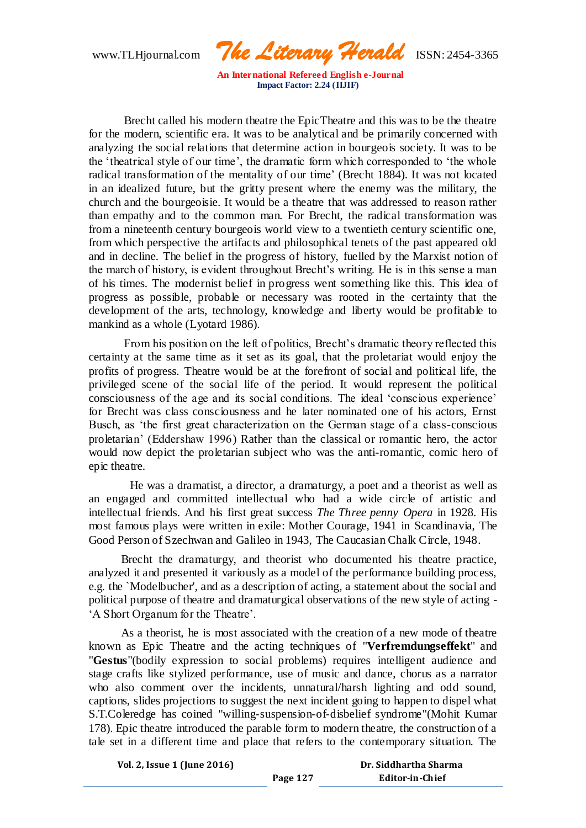www.TLHjournal.com *The Literary Herald*ISSN: 2454-3365

 Brecht called his modern theatre the EpicTheatre and this was to be the theatre for the modern, scientific era. It was to be analytical and be primarily concerned with analyzing the social relations that determine action in bourgeois society. It was to be the 'theatrical style of our time', the dramatic form which corresponded to 'the whole radical transformation of the mentality of our time' (Brecht 1884). It was not located in an idealized future, but the gritty present where the enemy was the military, the church and the bourgeoisie. It would be a theatre that was addressed to reason rather than empathy and to the common man. For Brecht, the radical transformation was from a nineteenth century bourgeois world view to a twentieth century scientific one, from which perspective the artifacts and philosophical tenets of the past appeared old and in decline. The belief in the progress of history, fuelled by the Marxist notion of the march of history, is evident throughout Brecht's writing. He is in this sense a man of his times. The modernist belief in progress went something like this. This idea of progress as possible, probable or necessary was rooted in the certainty that the development of the arts, technology, knowledge and liberty would be profitable to mankind as a whole (Lyotard 1986).

 From his position on the left of politics, Brecht's dramatic theory reflected this certainty at the same time as it set as its goal, that the proletariat would enjoy the profits of progress. Theatre would be at the forefront of social and political life, the privileged scene of the social life of the period. It would represent the political consciousness of the age and its social conditions. The ideal 'conscious experience' for Brecht was class consciousness and he later nominated one of his actors, Ernst Busch, as 'the first great characterization on the German stage of a class-conscious proletarian' (Eddershaw 1996) Rather than the classical or romantic hero, the actor would now depict the proletarian subject who was the anti-romantic, comic hero of epic theatre.

 He was a dramatist, a director, a dramaturgy, a poet and a theorist as well as an engaged and committed intellectual who had a wide circle of artistic and intellectual friends. And his first great success *The Three penny Opera* in 1928. His most famous plays were written in exile: Mother Courage, 1941 in Scandinavia, The Good Person of Szechwan and Galileo in 1943, The Caucasian Chalk Circle, 1948.

 Brecht the dramaturgy, and theorist who documented his theatre practice, analyzed it and presented it variously as a model of the performance building process, e.g. the `Modelbucher', and as a description of acting, a statement about the social and political purpose of theatre and dramaturgical observations of the new style of acting - 'A Short Organum for the Theatre'.

 As a theorist, he is most associated with the creation of a new mode of theatre known as Epic Theatre and the acting techniques of "**Verfremdungseffekt**" and "**Gestus**"(bodily expression to social problems) requires intelligent audience and stage crafts like stylized performance, use of music and dance, chorus as a narrator who also comment over the incidents, unnatural/harsh lighting and odd sound, captions, slides projections to suggest the next incident going to happen to dispel what S.T.Coleredge has coined "willing-suspension-of-disbelief syndrome"(Mohit Kumar 178). Epic theatre introduced the parable form to modern theatre, the construction of a tale set in a different time and place that refers to the contemporary situation. The

| Vol. 2, Issue 1 (June 2016) |          | Dr. Siddhartha Sharma |
|-----------------------------|----------|-----------------------|
|                             | Page 127 | Editor-in-Chief       |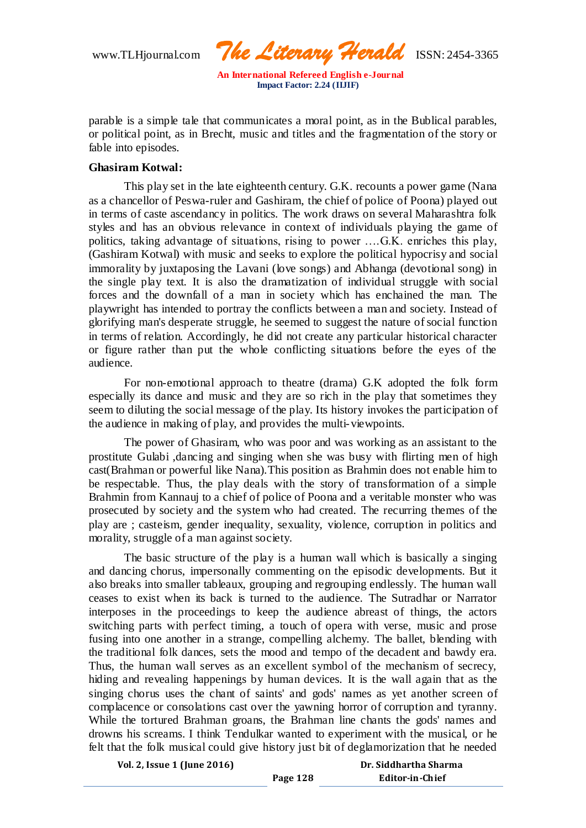www.TLHjournal.com *The Literary Herald*ISSN: 2454-3365

parable is a simple tale that communicates a moral point, as in the Bublical parables, or political point, as in Brecht, music and titles and the fragmentation of the story or fable into episodes.

# **Ghasiram Kotwal:**

This play set in the late eighteenth century. G.K. recounts a power game (Nana as a chancellor of Peswa-ruler and Gashiram, the chief of police of Poona) played out in terms of caste ascendancy in politics. The work draws on several Maharashtra folk styles and has an obvious relevance in context of individuals playing the game of politics, taking advantage of situations, rising to power ….G.K. enriches this play, (Gashiram Kotwal) with music and seeks to explore the political hypocrisy and social immorality by juxtaposing the Lavani (love songs) and Abhanga (devotional song) in the single play text. It is also the dramatization of individual struggle with social forces and the downfall of a man in society which has enchained the man. The playwright has intended to portray the conflicts between a man and society. Instead of glorifying man's desperate struggle, he seemed to suggest the nature of social function in terms of relation. Accordingly, he did not create any particular historical character or figure rather than put the whole conflicting situations before the eyes of the audience.

For non-emotional approach to theatre (drama) G.K adopted the folk form especially its dance and music and they are so rich in the play that sometimes they seem to diluting the social message of the play. Its history invokes the participation of the audience in making of play, and provides the multi-viewpoints.

The power of Ghasiram, who was poor and was working as an assistant to the prostitute Gulabi ,dancing and singing when she was busy with flirting men of high cast(Brahman or powerful like Nana).This position as Brahmin does not enable him to be respectable. Thus, the play deals with the story of transformation of a simple Brahmin from Kannauj to a chief of police of Poona and a veritable monster who was prosecuted by society and the system who had created. The recurring themes of the play are ; casteism, gender inequality, sexuality, violence, corruption in politics and morality, struggle of a man against society.

The basic structure of the play is a human wall which is basically a singing and dancing chorus, impersonally commenting on the episodic developments. But it also breaks into smaller tableaux, grouping and regrouping endlessly. The human wall ceases to exist when its back is turned to the audience. The Sutradhar or Narrator interposes in the proceedings to keep the audience abreast of things, the actors switching parts with perfect timing, a touch of opera with verse, music and prose fusing into one another in a strange, compelling alchemy. The ballet, blending with the traditional folk dances, sets the mood and tempo of the decadent and bawdy era. Thus, the human wall serves as an excellent symbol of the mechanism of secrecy, hiding and revealing happenings by human devices. It is the wall again that as the singing chorus uses the chant of saints' and gods' names as yet another screen of complacence or consolations cast over the yawning horror of corruption and tyranny. While the tortured Brahman groans, the Brahman line chants the gods' names and drowns his screams. I think Tendulkar wanted to experiment with the musical, or he felt that the folk musical could give history just bit of deglamorization that he needed

| Vol. 2, Issue 1 (June 2016) |          | Dr. Siddhartha Sharma |
|-----------------------------|----------|-----------------------|
|                             | Page 128 | Editor-in-Chief       |